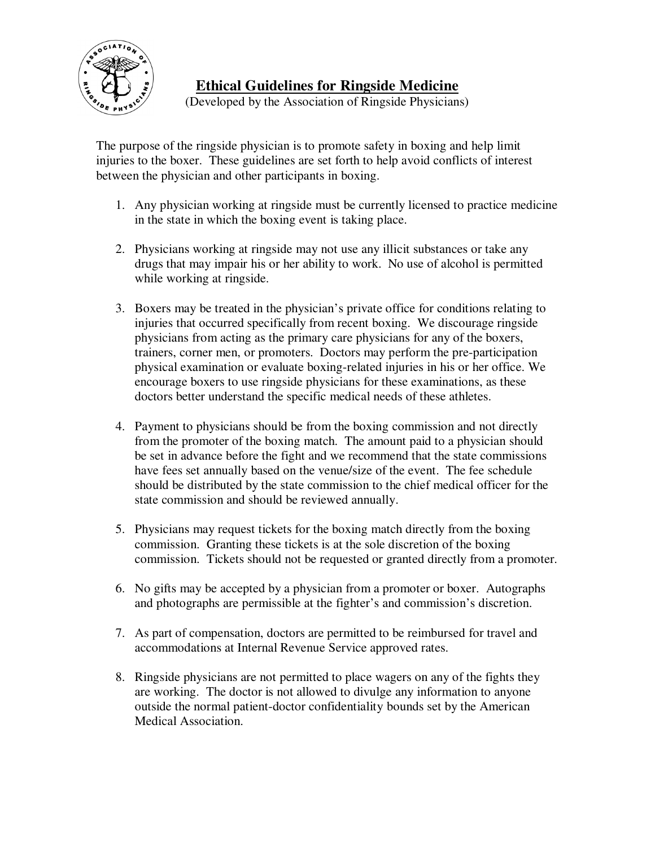

## **Ethical Guidelines for Ringside Medicine**

(Developed by the Association of Ringside Physicians)

The purpose of the ringside physician is to promote safety in boxing and help limit injuries to the boxer. These guidelines are set forth to help avoid conflicts of interest between the physician and other participants in boxing.

- 1. Any physician working at ringside must be currently licensed to practice medicine in the state in which the boxing event is taking place.
- 2. Physicians working at ringside may not use any illicit substances or take any drugs that may impair his or her ability to work. No use of alcohol is permitted while working at ringside.
- 3. Boxers may be treated in the physician's private office for conditions relating to injuries that occurred specifically from recent boxing. We discourage ringside physicians from acting as the primary care physicians for any of the boxers, trainers, corner men, or promoters. Doctors may perform the pre-participation physical examination or evaluate boxing-related injuries in his or her office. We encourage boxers to use ringside physicians for these examinations, as these doctors better understand the specific medical needs of these athletes.
- 4. Payment to physicians should be from the boxing commission and not directly from the promoter of the boxing match. The amount paid to a physician should be set in advance before the fight and we recommend that the state commissions have fees set annually based on the venue/size of the event. The fee schedule should be distributed by the state commission to the chief medical officer for the state commission and should be reviewed annually.
- 5. Physicians may request tickets for the boxing match directly from the boxing commission. Granting these tickets is at the sole discretion of the boxing commission. Tickets should not be requested or granted directly from a promoter.
- 6. No gifts may be accepted by a physician from a promoter or boxer. Autographs and photographs are permissible at the fighter's and commission's discretion.
- 7. As part of compensation, doctors are permitted to be reimbursed for travel and accommodations at Internal Revenue Service approved rates.
- 8. Ringside physicians are not permitted to place wagers on any of the fights they are working. The doctor is not allowed to divulge any information to anyone outside the normal patient-doctor confidentiality bounds set by the American Medical Association.